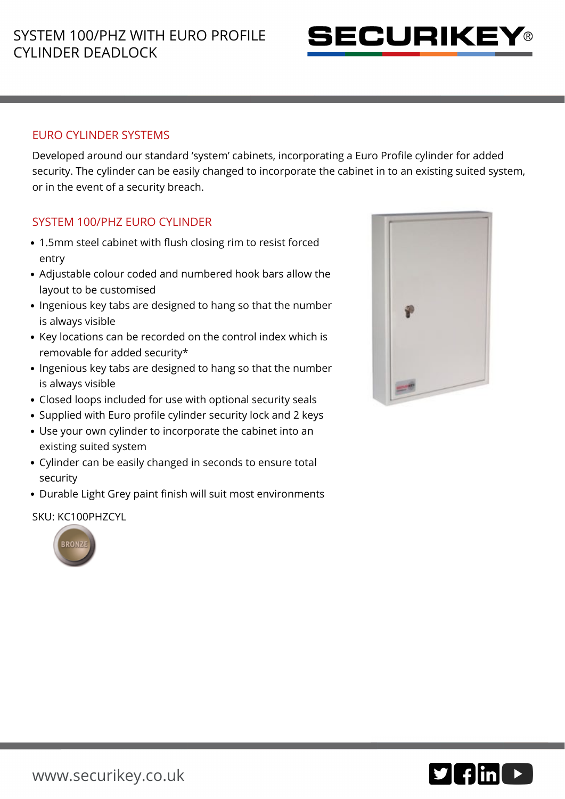

### EURO CYLINDER SYSTEMS

Developed around our standard 'system' cabinets, incorporating a Euro Profile cylinder for added security. The cylinder can be easily changed to incorporate the cabinet in to an existing suited system, or in the event of a security breach.

### SYSTEM 100/PHZ EURO CYLINDER

- 1.5mm steel cabinet with flush closing rim to resist forced entry
- Adjustable colour coded and numbered hook bars allow the layout to be customised
- Ingenious key tabs are designed to hang so that the number is always visible
- Key locations can be recorded on the control index which is removable for added security\*
- Ingenious key tabs are designed to hang so that the number is always visible
- Closed loops included for use with optional security seals
- Supplied with Euro profile cylinder security lock and 2 keys
- Use your own cylinder to incorporate the cabinet into an existing suited system
- Cylinder can be easily changed in seconds to ensure total security
- Durable Light Grey paint finish will suit most environments

#### SKU: KC100PHZCYL



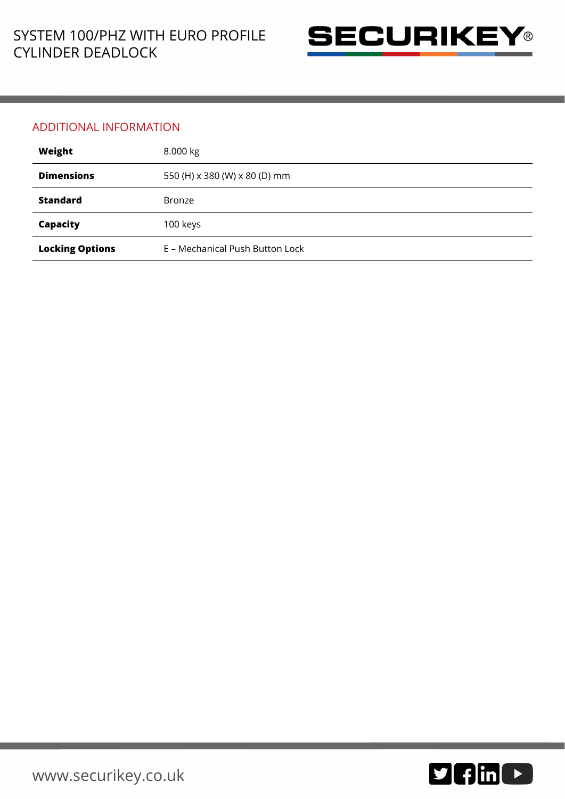

#### ADDITIONAL INFORMATION

| Weight                 | 8.000 kg                        |
|------------------------|---------------------------------|
| <b>Dimensions</b>      | 550 (H) x 380 (W) x 80 (D) mm   |
| <b>Standard</b>        | <b>Bronze</b>                   |
| Capacity               | 100 keys                        |
| <b>Locking Options</b> | E - Mechanical Push Button Lock |

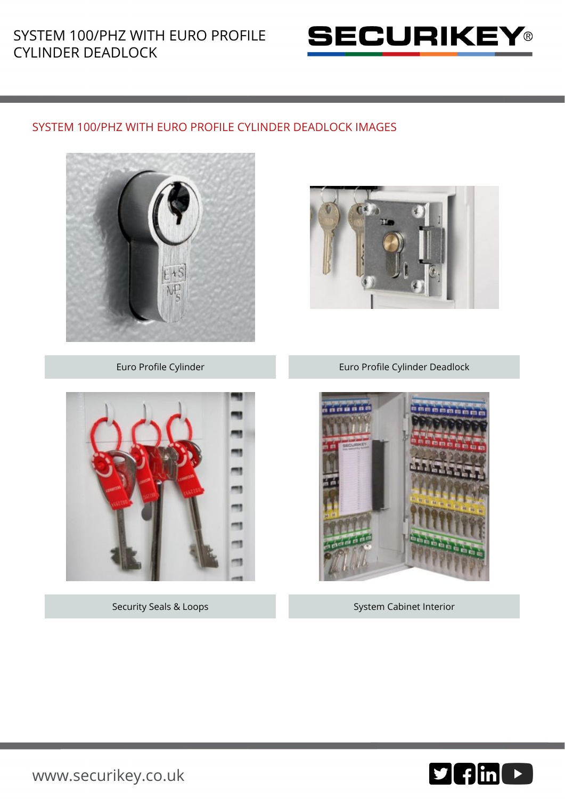# SYSTEM 100/PHZ WITH EURO PROFILE CYLINDER DEADLOCK



## SYSTEM 100/PHZ WITH EURO PROFILE CYLINDER DEADLOCK IMAGES





Euro Profile Cylinder Euro Profile Cylinder Deadlock



Security Seals & Loops System Cabinet Interior



[www.securikey.co.uk](http://www.securikey.co.uk/)